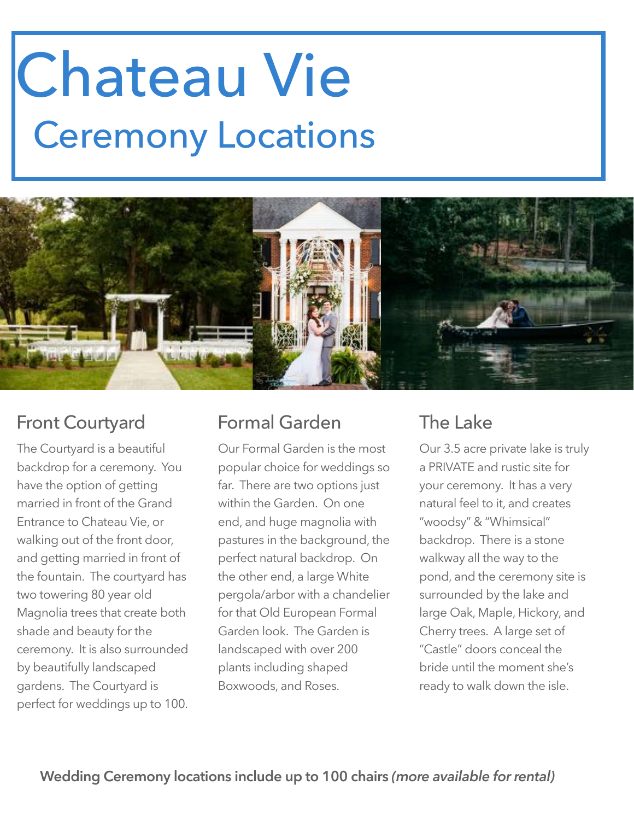## Chateau Vie Ceremony Locations



### Front Courtyard

The Courtyard is a beautiful backdrop for a ceremony. You have the option of getting married in front of the Grand Entrance to Chateau Vie, or walking out of the front door, and getting married in front of the fountain. The courtyard has two towering 80 year old Magnolia trees that create both shade and beauty for the ceremony. It is also surrounded by beautifully landscaped gardens. The Courtyard is perfect for weddings up to 100.

### Formal Garden

Our Formal Garden is the most popular choice for weddings so far. There are two options just within the Garden. On one end, and huge magnolia with pastures in the background, the perfect natural backdrop. On the other end, a large White pergola/arbor with a chandelier for that Old European Formal Garden look. The Garden is landscaped with over 200 plants including shaped Boxwoods, and Roses.

### The Lake

Our 3.5 acre private lake is truly a PRIVATE and rustic site for your ceremony. It has a very natural feel to it, and creates "woodsy" & "Whimsical" backdrop. There is a stone walkway all the way to the pond, and the ceremony site is surrounded by the lake and large Oak, Maple, Hickory, and Cherry trees. A large set of "Castle" doors conceal the bride until the moment she's ready to walk down the isle.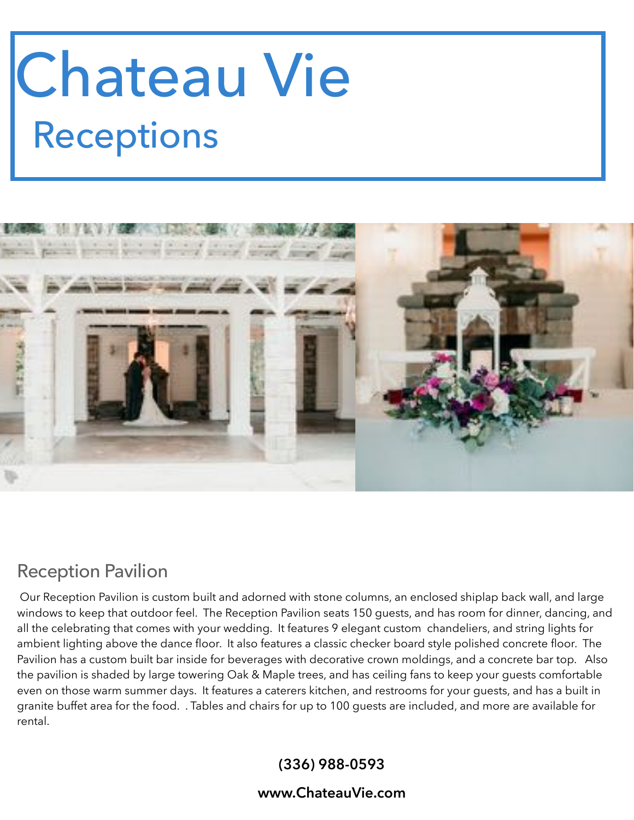# Chateau Vie Receptions



### Reception Pavilion

 Our Reception Pavilion is custom built and adorned with stone columns, an enclosed shiplap back wall, and large windows to keep that outdoor feel. The Reception Pavilion seats 150 guests, and has room for dinner, dancing, and all the celebrating that comes with your wedding. It features 9 elegant custom chandeliers, and string lights for ambient lighting above the dance floor. It also features a classic checker board style polished concrete floor. The Pavilion has a custom built bar inside for beverages with decorative crown moldings, and a concrete bar top. Also the pavilion is shaded by large towering Oak & Maple trees, and has ceiling fans to keep your guests comfortable even on those warm summer days. It features a caterers kitchen, and restrooms for your guests, and has a built in granite buffet area for the food. . Tables and chairs for up to 100 guests are included, and more are available for rental.

#### **(336) 988-0593**

#### **www.ChateauVie.com**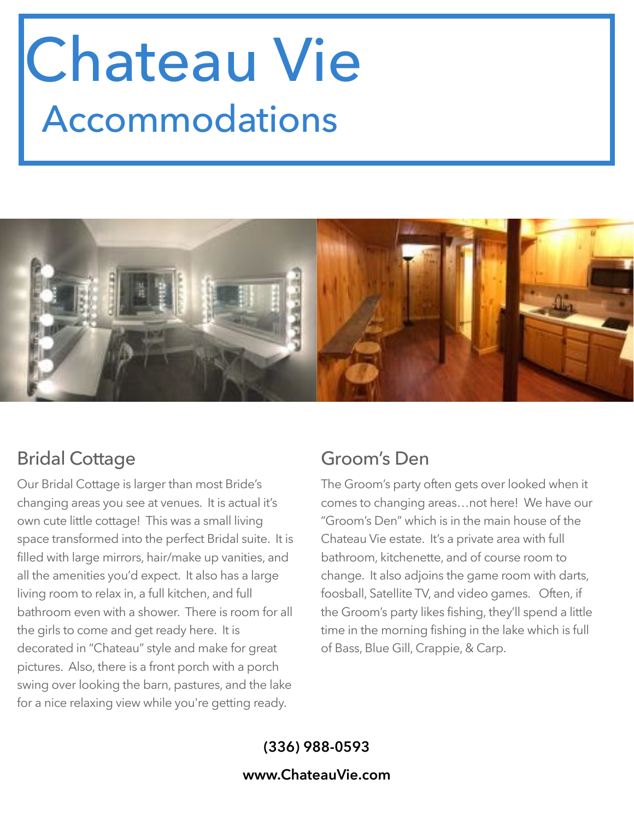## Chateau Vie Accommodations



### Bridal Cottage

Our Bridal Cottage is larger than most Bride's changing areas you see at venues. It is actual it's own cute little cottage! This was a small living space transformed into the perfect Bridal suite. It is filled with large mirrors, hair/make up vanities, and all the amenities you'd expect. It also has a large living room to relax in, a full kitchen, and full bathroom even with a shower. There is room for all the girls to come and get ready here. It is decorated in "Chateau" style and make for great pictures. Also, there is a front porch with a porch swing over looking the barn, pastures, and the lake for a nice relaxing view while you're getting ready.

### Groom's Den

The Groom's party often gets over looked when it comes to changing areas…not here! We have our "Groom's Den" which is in the main house of the Chateau Vie estate. It's a private area with full bathroom, kitchenette, and of course room to change. It also adjoins the game room with darts, foosball, Satellite TV, and video games. Often, if the Groom's party likes fishing, they'll spend a little time in the morning fishing in the lake which is full of Bass, Blue Gill, Crappie, & Carp.

### **(336) 988-0593 www.ChateauVie.com**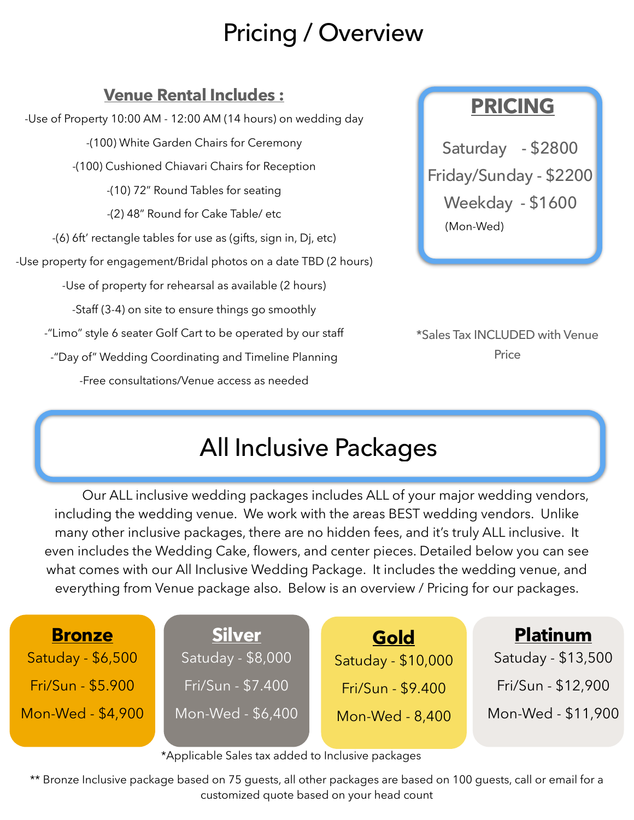## Pricing / Overview

### **Venue Rental Includes :**

-Use of Property 10:00 AM - 12:00 AM (14 hours) on wedding day -(100) White Garden Chairs for Ceremony -(100) Cushioned Chiavari Chairs for Reception -(10) 72" Round Tables for seating -(2) 48" Round for Cake Table/ etc -(6) 6ft' rectangle tables for use as (gifts, sign in, Dj, etc) -Use property for engagement/Bridal photos on a date TBD (2 hours) -Use of property for rehearsal as available (2 hours) -Staff (3-4) on site to ensure things go smoothly -"Limo" style 6 seater Golf Cart to be operated by our staff -"Day of" Wedding Coordinating and Timeline Planning -Free consultations/Venue access as needed

### **PRICING**

Saturday - \$2800 Friday/Sunday - \$2200 Weekday - \$1600 (Mon-Wed)

\*Sales Tax INCLUDED with Venue Price

### All Inclusive Packages

 Our ALL inclusive wedding packages includes ALL of your major wedding vendors, including the wedding venue. We work with the areas BEST wedding vendors. Unlike many other inclusive packages, there are no hidden fees, and it's truly ALL inclusive. It even includes the Wedding Cake, flowers, and center pieces. Detailed below you can see what comes with our All Inclusive Wedding Package. It includes the wedding venue, and everything from Venue package also. Below is an overview / Pricing for our packages.

| <b>Bronze</b>     | <b>Silver</b>     | Gold               | <b>Platinum</b>    |
|-------------------|-------------------|--------------------|--------------------|
| Satuday - \$6,500 | Satuday - \$8,000 | Satuday - \$10,000 | Satuday - \$13,500 |
| Fri/Sun - \$5.900 | Fri/Sun - \$7.400 | Fri/Sun - \$9.400  | Fri/Sun - \$12,900 |
| Mon-Wed - \$4,900 | Mon-Wed - \$6,400 | Mon-Wed - 8,400    | Mon-Wed - \$11,900 |
|                   |                   |                    |                    |

\*Applicable Sales tax added to Inclusive packages

\*\* Bronze Inclusive package based on 75 guests, all other packages are based on 100 guests, call or email for a customized quote based on your head count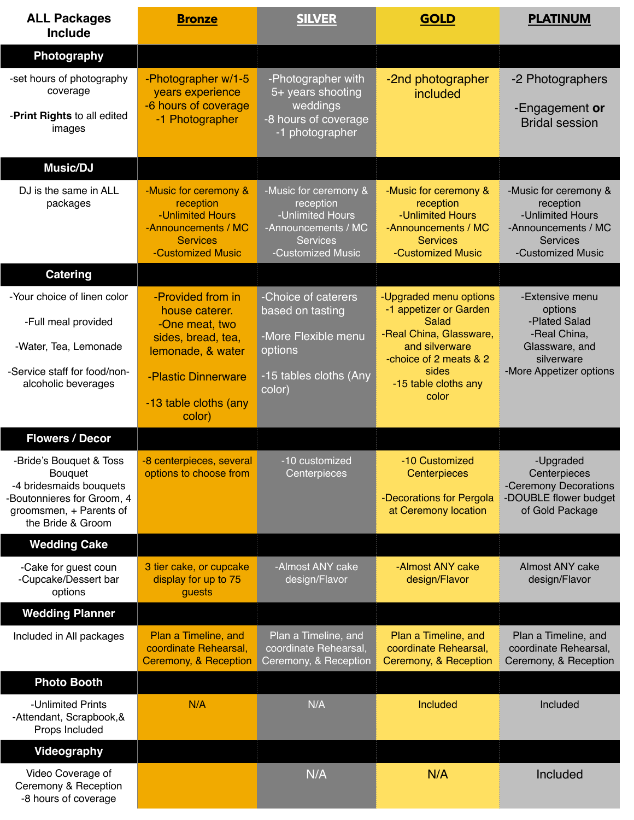| <b>ALL Packages</b><br><b>Include</b>                                                                                                      | <b>Bronze</b>                                                                                                           | <b>SILVER</b>                                                                                                         | <b>GOLD</b>                                                                                                                                                       | <b>PLATINUM</b>                                                                                                        |
|--------------------------------------------------------------------------------------------------------------------------------------------|-------------------------------------------------------------------------------------------------------------------------|-----------------------------------------------------------------------------------------------------------------------|-------------------------------------------------------------------------------------------------------------------------------------------------------------------|------------------------------------------------------------------------------------------------------------------------|
| Photography                                                                                                                                |                                                                                                                         |                                                                                                                       |                                                                                                                                                                   |                                                                                                                        |
| -set hours of photography<br>coverage<br>-Print Rights to all edited<br>images                                                             | -Photographer w/1-5<br>years experience<br>-6 hours of coverage<br>-1 Photographer                                      | -Photographer with<br>5+ years shooting<br>weddings<br>-8 hours of coverage<br>-1 photographer                        | -2nd photographer<br>included                                                                                                                                     | -2 Photographers<br>-Engagement or<br><b>Bridal session</b>                                                            |
| Music/DJ                                                                                                                                   |                                                                                                                         |                                                                                                                       |                                                                                                                                                                   |                                                                                                                        |
| DJ is the same in ALL<br>packages                                                                                                          | -Music for ceremony &<br>reception<br>-Unlimited Hours<br>-Announcements / MC<br><b>Services</b><br>-Customized Music   | -Music for ceremony &<br>reception<br>-Unlimited Hours<br>-Announcements / MC<br><b>Services</b><br>-Customized Music | -Music for ceremony &<br>reception<br>-Unlimited Hours<br>-Announcements / MC<br><b>Services</b><br>-Customized Music                                             | -Music for ceremony &<br>reception<br>-Unlimited Hours<br>-Announcements / MC<br><b>Services</b><br>-Customized Music  |
| <b>Catering</b>                                                                                                                            |                                                                                                                         |                                                                                                                       |                                                                                                                                                                   |                                                                                                                        |
| -Your choice of linen color<br>-Full meal provided<br>-Water, Tea, Lemonade<br>-Service staff for food/non-<br>alcoholic beverages         | -Provided from in<br>house caterer.<br>-One meat, two<br>sides, bread, tea,<br>lemonade, & water<br>-Plastic Dinnerware | -Choice of caterers<br>based on tasting<br>-More Flexible menu<br>options<br>-15 tables cloths (Any<br>color)         | -Upgraded menu options<br>-1 appetizer or Garden<br>Salad<br>-Real China, Glassware,<br>and silverware<br>-choice of 2 meats & 2<br>sides<br>-15 table cloths any | -Extensive menu<br>options<br>-Plated Salad<br>-Real China,<br>Glassware, and<br>silverware<br>-More Appetizer options |
|                                                                                                                                            | -13 table cloths (any<br>color)                                                                                         |                                                                                                                       | color                                                                                                                                                             |                                                                                                                        |
| <b>Flowers / Decor</b>                                                                                                                     |                                                                                                                         |                                                                                                                       |                                                                                                                                                                   |                                                                                                                        |
| -Bride's Bouquet & Toss<br>Bouquet<br>-4 bridesmaids bouquets<br>Boutonnieres for Groom, 4<br>groomsmen, + Parents of<br>the Bride & Groom | -8 centerpieces, several<br>options to choose from                                                                      | -10 customized<br>Centerpieces                                                                                        | -10 Customized<br>Centerpieces<br>-Decorations for Pergola<br>at Ceremony location                                                                                | -Upgraded<br>Centerpieces<br>-Ceremony Decorations<br>-DOUBLE flower budget<br>of Gold Package                         |
| <b>Wedding Cake</b>                                                                                                                        |                                                                                                                         |                                                                                                                       |                                                                                                                                                                   |                                                                                                                        |
| -Cake for guest coun<br>-Cupcake/Dessert bar<br>options                                                                                    | 3 tier cake, or cupcake<br>display for up to 75<br>guests                                                               | -Almost ANY cake<br>design/Flavor                                                                                     | -Almost ANY cake<br>design/Flavor                                                                                                                                 | Almost ANY cake<br>design/Flavor                                                                                       |
| <b>Wedding Planner</b>                                                                                                                     |                                                                                                                         |                                                                                                                       |                                                                                                                                                                   |                                                                                                                        |
| Included in All packages                                                                                                                   | Plan a Timeline, and<br>coordinate Rehearsal,<br>Ceremony, & Reception                                                  | Plan a Timeline, and<br>coordinate Rehearsal,<br>Ceremony, & Reception                                                | Plan a Timeline, and<br>coordinate Rehearsal,<br>Ceremony, & Reception                                                                                            | Plan a Timeline, and<br>coordinate Rehearsal,<br>Ceremony, & Reception                                                 |
| <b>Photo Booth</b>                                                                                                                         |                                                                                                                         |                                                                                                                       |                                                                                                                                                                   |                                                                                                                        |
| -Unlimited Prints<br>-Attendant, Scrapbook, &<br>Props Included                                                                            | N/A                                                                                                                     | N/A                                                                                                                   | Included                                                                                                                                                          | Included                                                                                                               |
| <b>Videography</b>                                                                                                                         |                                                                                                                         |                                                                                                                       |                                                                                                                                                                   |                                                                                                                        |
| Video Coverage of<br>Ceremony & Reception<br>-8 hours of coverage                                                                          |                                                                                                                         | N/A                                                                                                                   | N/A                                                                                                                                                               | Included                                                                                                               |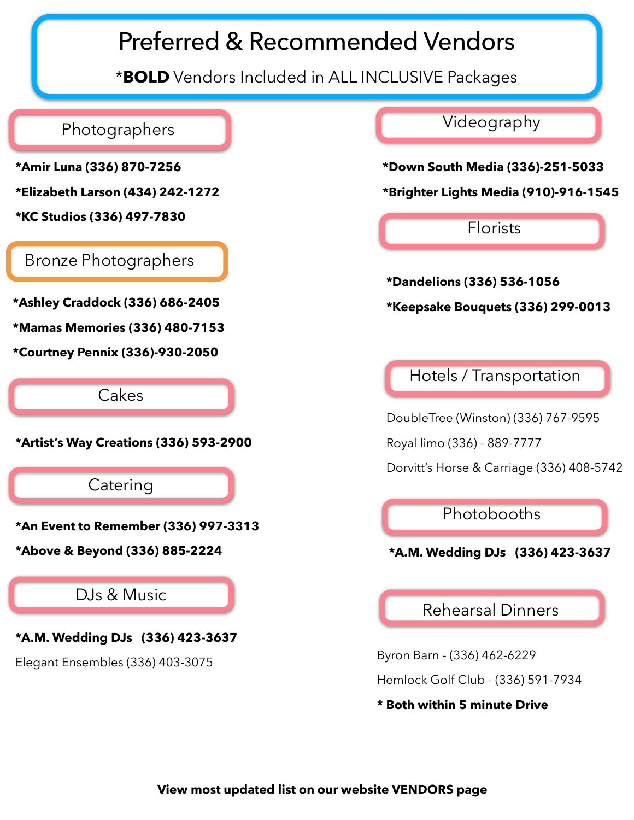### Preferred & Recommended Vendors

\***BOLD** Vendors Included in ALL INCLUSIVE Packages

### Photographers

- **\*Amir Luna (336) 870-7256**
- **\*Elizabeth Larson (434) 242-1272**
- **\*KC Studios (336) 497-7830**

#### Bronze Photographers

**\*Ashley Craddock (336) 686-2405** 

**\*Mamas Memories (336) 480-7153** 

**\*Courtney Pennix (336)-930-2050**

Cakes

**\*Artist's Way Creations (336) 593-2900** 

**Catering** 

**\*An Event to Remember (336) 997-3313** 

**\*Above & Beyond (336) 885-2224**

### DJs & Music

**\*A.M. Wedding DJs (336) 423-3637** 

Elegant Ensembles (336) 403-3075

Videography

**\*Down South Media (336)-251-5033** 

**\*Brighter Lights Media (910)-916-1545** 

Florists

**\*Dandelions (336) 536-1056 \*Keepsake Bouquets (336) 299-0013** 

Hotels / Transportation

DoubleTree (Winston) (336) 767-9595 Royal limo (336) - 889-7777

Dorvitt's Horse & Carriage (336) 408-5742

Photobooths

**\*A.M. Wedding DJs (336) 423-3637** 

Rehearsal Dinners

Byron Barn - (336) 462-6229 Hemlock Golf Club - (336) 591-7934

**\* Both within 5 minute Drive**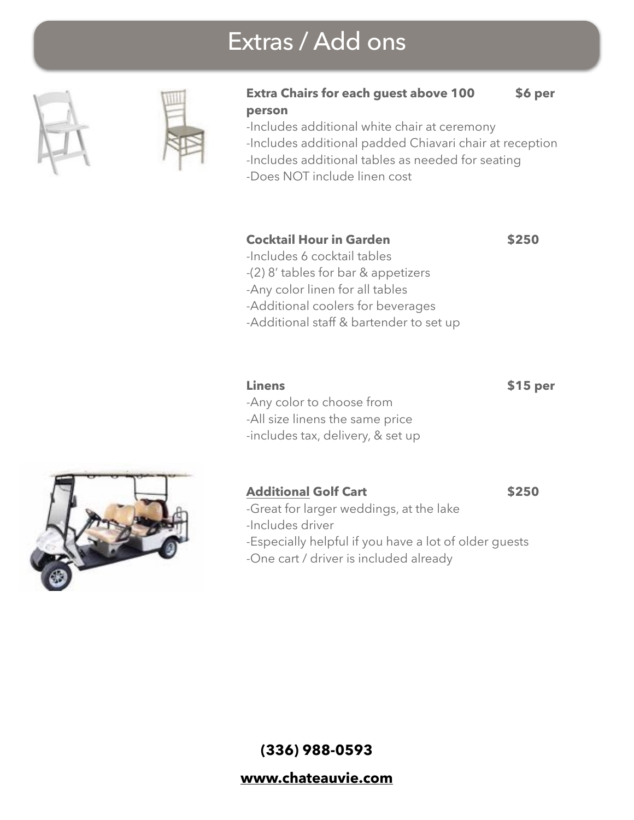### Extras / Add ons





#### **Extra Chairs for each guest above 100 \$6 per person**

-Includes additional white chair at ceremony -Includes additional padded Chiavari chair at reception -Includes additional tables as needed for seating

-Does NOT include linen cost

#### **Cocktail Hour in Garden 6250**

-Includes 6 cocktail tables

- -(2) 8' tables for bar & appetizers
- -Any color linen for all tables
- -Additional coolers for beverages
- -Additional staff & bartender to set up

**Linens \$15 per**

- -Any color to choose from
- -All size linens the same price
- -includes tax, delivery, & set up

#### Additional Golf Cart **\$250**

- -Great for larger weddings, at the lake
- -Includes driver
- -Especially helpful if you have a lot of older guests
- -One cart / driver is included already





**[www.chateauvie.com](http://www.chateauvie.com)**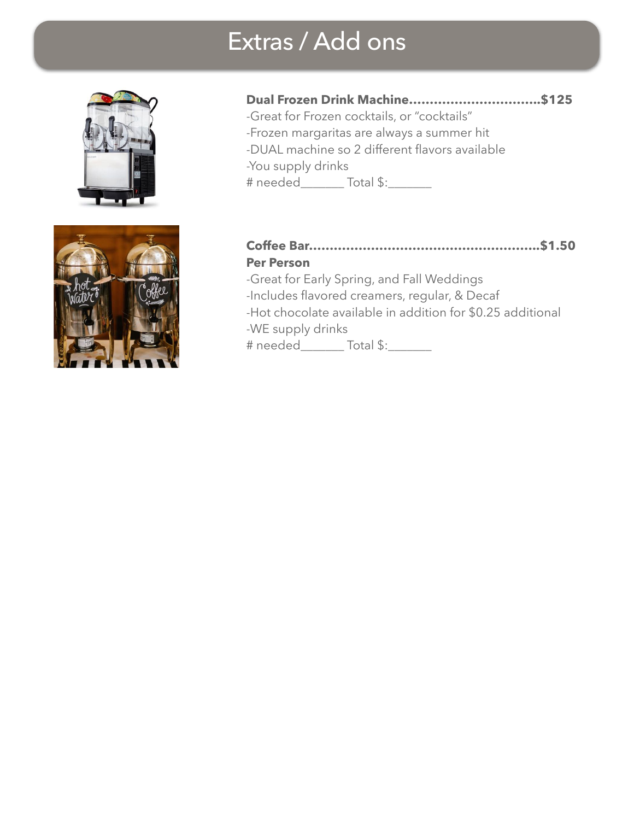### Extras / Add ons





### **Dual Frozen Drink Machine…………………………..\$125**

-Great for Frozen cocktails, or "cocktails" -Frozen margaritas are always a summer hit -DUAL machine so 2 different flavors available -You supply drinks # needed\_\_\_\_\_\_\_ Total \$:\_\_\_\_\_\_\_

#### **Coffee Bar………………………………………………..\$1.50 Per Person**

-Great for Early Spring, and Fall Weddings -Includes flavored creamers, regular, & Decaf -Hot chocolate available in addition for \$0.25 additional -WE supply drinks # needed\_\_\_\_\_\_\_ Total \$:\_\_\_\_\_\_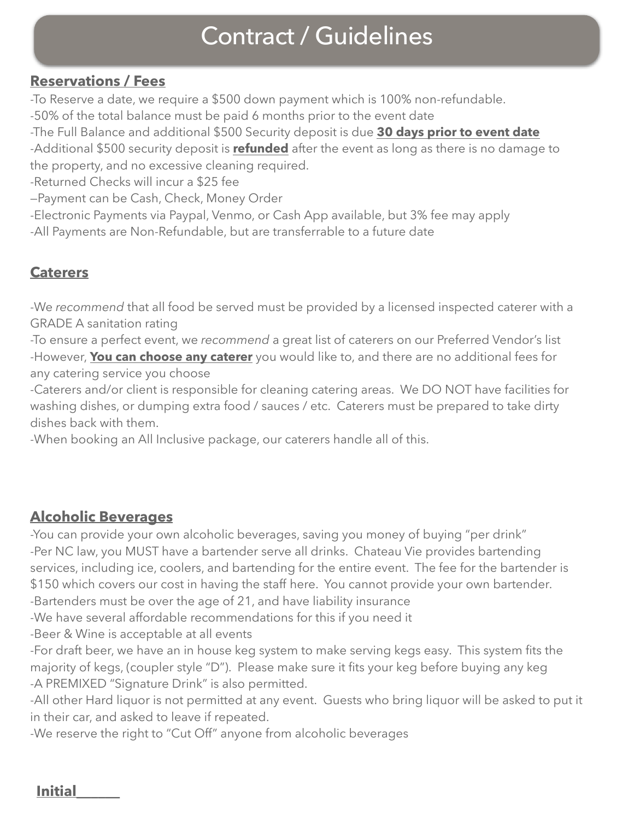### Contract / Guidelines

### **Reservations / Fees**

-To Reserve a date, we require a \$500 down payment which is 100% non-refundable.

-50% of the total balance must be paid 6 months prior to the event date

-The Full Balance and additional \$500 Security deposit is due **30 days prior to event date**  -Additional \$500 security deposit is **refunded** after the event as long as there is no damage to the property, and no excessive cleaning required.

-Returned Checks will incur a \$25 fee

—Payment can be Cash, Check, Money Order

-Electronic Payments via Paypal, Venmo, or Cash App available, but 3% fee may apply

-All Payments are Non-Refundable, but are transferrable to a future date

### **Caterers**

-We *recommend* that all food be served must be provided by a licensed inspected caterer with a GRADE A sanitation rating

-To ensure a perfect event, we *recommend* a great list of caterers on our Preferred Vendor's list -However, **You can choose any caterer** you would like to, and there are no additional fees for any catering service you choose

-Caterers and/or client is responsible for cleaning catering areas. We DO NOT have facilities for washing dishes, or dumping extra food / sauces / etc. Caterers must be prepared to take dirty dishes back with them.

-When booking an All Inclusive package, our caterers handle all of this.

### **Alcoholic Beverages**

-You can provide your own alcoholic beverages, saving you money of buying "per drink" -Per NC law, you MUST have a bartender serve all drinks. Chateau Vie provides bartending services, including ice, coolers, and bartending for the entire event. The fee for the bartender is \$150 which covers our cost in having the staff here. You cannot provide your own bartender. -Bartenders must be over the age of 21, and have liability insurance

-We have several affordable recommendations for this if you need it

-Beer & Wine is acceptable at all events

-For draft beer, we have an in house keg system to make serving kegs easy. This system fits the majority of kegs, (coupler style "D"). Please make sure it fits your keg before buying any keg -A PREMIXED "Signature Drink" is also permitted.

-All other Hard liquor is not permitted at any event. Guests who bring liquor will be asked to put it in their car, and asked to leave if repeated.

-We reserve the right to "Cut Off" anyone from alcoholic beverages

**Initial\_\_\_\_\_\_**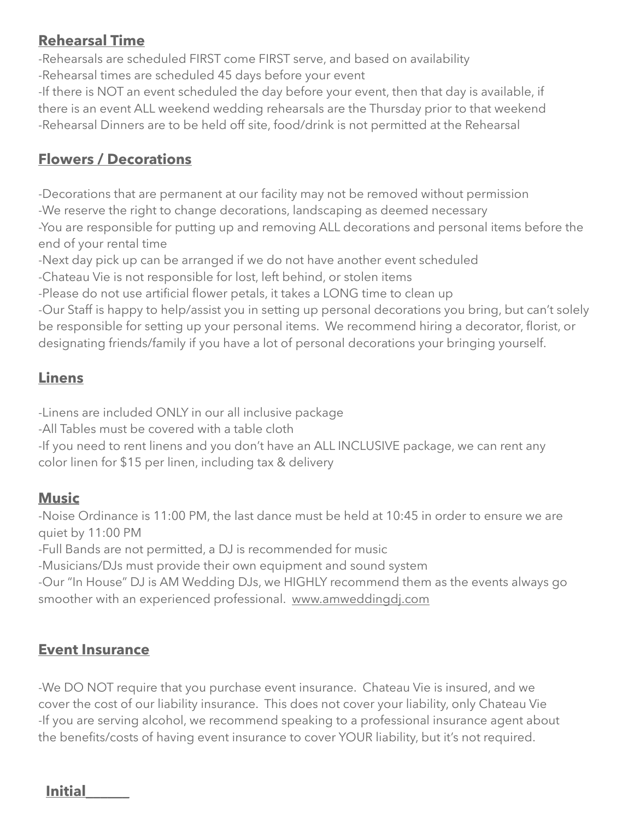#### **Rehearsal Time**

-Rehearsals are scheduled FIRST come FIRST serve, and based on availability -Rehearsal times are scheduled 45 days before your event

-If there is NOT an event scheduled the day before your event, then that day is available, if there is an event ALL weekend wedding rehearsals are the Thursday prior to that weekend -Rehearsal Dinners are to be held off site, food/drink is not permitted at the Rehearsal

### **Flowers / Decorations**

-Decorations that are permanent at our facility may not be removed without permission -We reserve the right to change decorations, landscaping as deemed necessary -You are responsible for putting up and removing ALL decorations and personal items before the end of your rental time

-Next day pick up can be arranged if we do not have another event scheduled

-Chateau Vie is not responsible for lost, left behind, or stolen items

-Please do not use artificial flower petals, it takes a LONG time to clean up

-Our Staff is happy to help/assist you in setting up personal decorations you bring, but can't solely be responsible for setting up your personal items. We recommend hiring a decorator, florist, or designating friends/family if you have a lot of personal decorations your bringing yourself.

### **Linens**

-Linens are included ONLY in our all inclusive package

-All Tables must be covered with a table cloth

-If you need to rent linens and you don't have an ALL INCLUSIVE package, we can rent any color linen for \$15 per linen, including tax & delivery

### **Music**

-Noise Ordinance is 11:00 PM, the last dance must be held at 10:45 in order to ensure we are quiet by 11:00 PM

-Full Bands are not permitted, a DJ is recommended for music

-Musicians/DJs must provide their own equipment and sound system

-Our "In House" DJ is AM Wedding DJs, we HIGHLY recommend them as the events always go smoother with an experienced professional. [www.amweddingdj.com](http://www.amweddingdj.com)

### **Event Insurance**

-We DO NOT require that you purchase event insurance. Chateau Vie is insured, and we cover the cost of our liability insurance. This does not cover your liability, only Chateau Vie -If you are serving alcohol, we recommend speaking to a professional insurance agent about the benefits/costs of having event insurance to cover YOUR liability, but it's not required.

**Initial\_\_\_\_\_\_**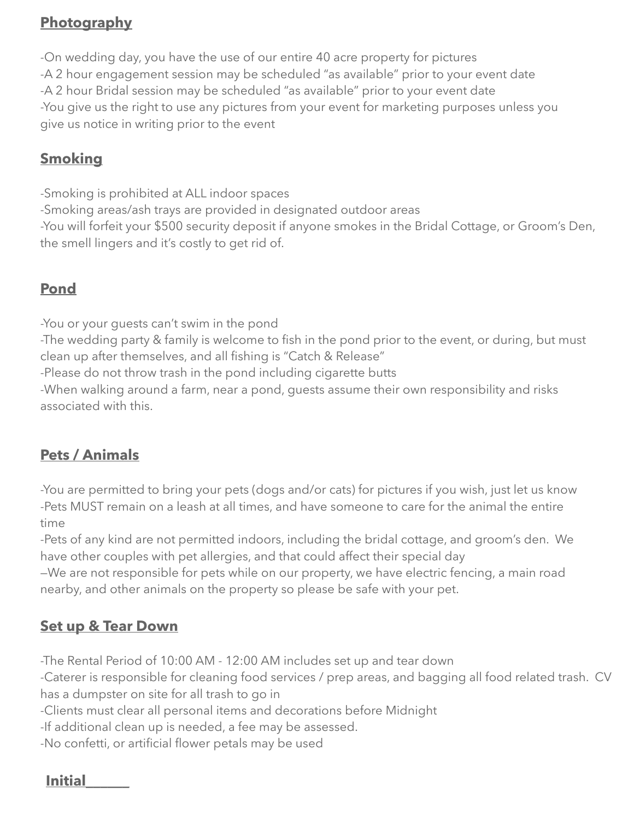### **Photography**

-On wedding day, you have the use of our entire 40 acre property for pictures -A 2 hour engagement session may be scheduled "as available" prior to your event date -A 2 hour Bridal session may be scheduled "as available" prior to your event date -You give us the right to use any pictures from your event for marketing purposes unless you give us notice in writing prior to the event

### **Smoking**

-Smoking is prohibited at ALL indoor spaces -Smoking areas/ash trays are provided in designated outdoor areas -You will forfeit your \$500 security deposit if anyone smokes in the Bridal Cottage, or Groom's Den, the smell lingers and it's costly to get rid of.

### **Pond**

-You or your guests can't swim in the pond

-The wedding party & family is welcome to fish in the pond prior to the event, or during, but must clean up after themselves, and all fishing is "Catch & Release"

-Please do not throw trash in the pond including cigarette butts

-When walking around a farm, near a pond, guests assume their own responsibility and risks associated with this.

### **Pets / Animals**

-You are permitted to bring your pets (dogs and/or cats) for pictures if you wish, just let us know -Pets MUST remain on a leash at all times, and have someone to care for the animal the entire time

-Pets of any kind are not permitted indoors, including the bridal cottage, and groom's den. We have other couples with pet allergies, and that could affect their special day

—We are not responsible for pets while on our property, we have electric fencing, a main road nearby, and other animals on the property so please be safe with your pet.

### **Set up & Tear Down**

-The Rental Period of 10:00 AM - 12:00 AM includes set up and tear down

-Caterer is responsible for cleaning food services / prep areas, and bagging all food related trash. CV has a dumpster on site for all trash to go in

-Clients must clear all personal items and decorations before Midnight

-If additional clean up is needed, a fee may be assessed.

-No confetti, or artificial flower petals may be used

### **Initial\_\_\_\_\_\_**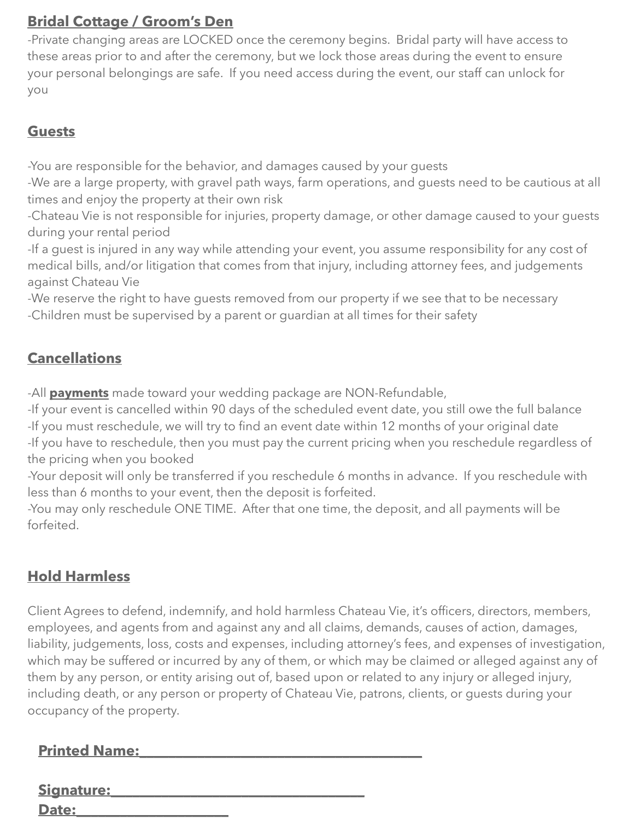### **Bridal Cottage / Groom's Den**

-Private changing areas are LOCKED once the ceremony begins. Bridal party will have access to these areas prior to and after the ceremony, but we lock those areas during the event to ensure your personal belongings are safe. If you need access during the event, our staff can unlock for you

### **Guests**

-You are responsible for the behavior, and damages caused by your guests

-We are a large property, with gravel path ways, farm operations, and guests need to be cautious at all times and enjoy the property at their own risk

-Chateau Vie is not responsible for injuries, property damage, or other damage caused to your guests during your rental period

-If a guest is injured in any way while attending your event, you assume responsibility for any cost of medical bills, and/or litigation that comes from that injury, including attorney fees, and judgements against Chateau Vie

-We reserve the right to have guests removed from our property if we see that to be necessary -Children must be supervised by a parent or guardian at all times for their safety

### **Cancellations**

-All **payments** made toward your wedding package are NON-Refundable,

-If your event is cancelled within 90 days of the scheduled event date, you still owe the full balance -If you must reschedule, we will try to find an event date within 12 months of your original date -If you have to reschedule, then you must pay the current pricing when you reschedule regardless of

the pricing when you booked

-Your deposit will only be transferred if you reschedule 6 months in advance. If you reschedule with less than 6 months to your event, then the deposit is forfeited.

-You may only reschedule ONE TIME. After that one time, the deposit, and all payments will be forfeited.

### **Hold Harmless**

Client Agrees to defend, indemnify, and hold harmless Chateau Vie, it's officers, directors, members, employees, and agents from and against any and all claims, demands, causes of action, damages, liability, judgements, loss, costs and expenses, including attorney's fees, and expenses of investigation, which may be suffered or incurred by any of them, or which may be claimed or alleged against any of them by any person, or entity arising out of, based upon or related to any injury or alleged injury, including death, or any person or property of Chateau Vie, patrons, clients, or guests during your occupancy of the property.

| <b>Printed Name:</b> |  |
|----------------------|--|
|                      |  |
| <b>Signature:</b>    |  |
| <b>Date:</b>         |  |